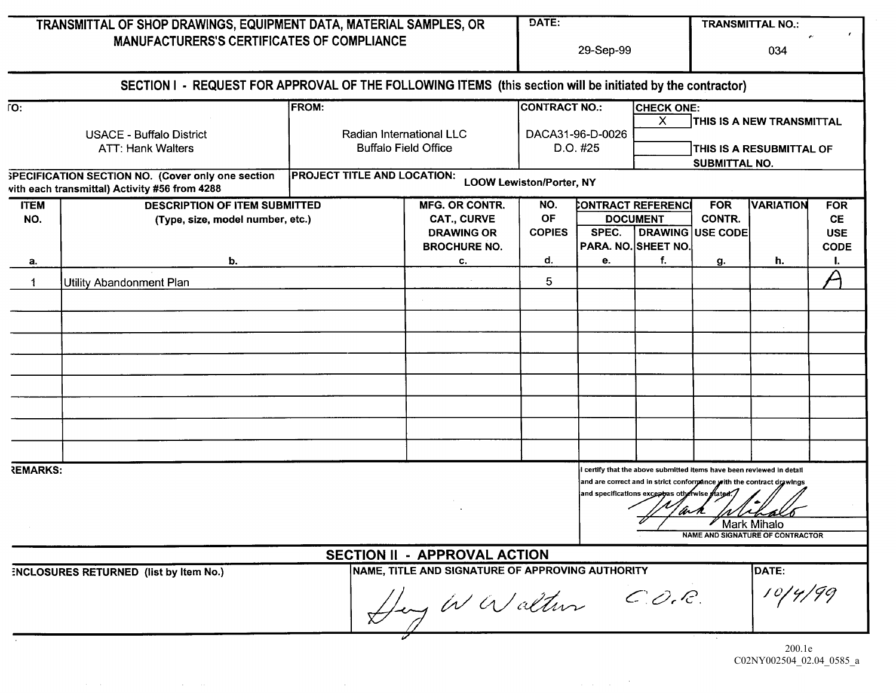| TRANSMITTAL OF SHOP DRAWINGS, EQUIPMENT DATA, MATERIAL SAMPLES, OR<br><b>MANUFACTURERS'S CERTIFICATES OF COMPLIANCE</b> |                                                                          |                                                                         |                                                                                         | DATE:<br>29-Sep-99                                   |                                                                                                                                                                                                                 |                                                                                                          | <b>TRANSMITTAL NO.:</b><br>034 |                                  |                                                      |
|-------------------------------------------------------------------------------------------------------------------------|--------------------------------------------------------------------------|-------------------------------------------------------------------------|-----------------------------------------------------------------------------------------|------------------------------------------------------|-----------------------------------------------------------------------------------------------------------------------------------------------------------------------------------------------------------------|----------------------------------------------------------------------------------------------------------|--------------------------------|----------------------------------|------------------------------------------------------|
|                                                                                                                         |                                                                          |                                                                         |                                                                                         |                                                      |                                                                                                                                                                                                                 |                                                                                                          |                                |                                  |                                                      |
| $\overline{\text{IO}}$ :<br><b>USACE - Buffalo District</b><br><b>ATT: Hank Walters</b>                                 |                                                                          | <b>FROM:</b><br>Radian International LLC<br><b>Buffalo Field Office</b> |                                                                                         | <b>CONTRACT NO.:</b><br>DACA31-96-D-0026<br>D.O. #25 |                                                                                                                                                                                                                 | <b>CHECK ONE:</b><br>X.<br>THIS IS A NEW TRANSMITTAL<br>THIS IS A RESUBMITTAL OF<br><b>SUBMITTAL NO.</b> |                                |                                  |                                                      |
|                                                                                                                         |                                                                          |                                                                         |                                                                                         |                                                      |                                                                                                                                                                                                                 |                                                                                                          |                                |                                  |                                                      |
| <b>ITEM</b><br>NO.                                                                                                      | <b>DESCRIPTION OF ITEM SUBMITTED</b><br>(Type, size, model number, etc.) |                                                                         | <b>MFG. OR CONTR.</b><br><b>CAT., CURVE</b><br><b>DRAWING OR</b><br><b>BROCHURE NO.</b> | NO.<br>OF<br><b>COPIES</b>                           | SPEC.                                                                                                                                                                                                           | CONTRACT REFERENCI<br><b>DOCUMENT</b><br><b>DRAWING USE CODE</b><br>PARA. NO. SHEET NO.                  | <b>FOR</b><br>CONTR.           | <b>VARIATION</b>                 | <b>FOR</b><br><b>CE</b><br><b>USE</b><br><b>CODE</b> |
| а.                                                                                                                      | b.                                                                       |                                                                         | C.                                                                                      | d.                                                   | е.                                                                                                                                                                                                              | f.                                                                                                       | g.                             | h.                               | ı.                                                   |
|                                                                                                                         | Utility Abandonment Plan                                                 |                                                                         |                                                                                         | 5                                                    |                                                                                                                                                                                                                 |                                                                                                          |                                |                                  |                                                      |
|                                                                                                                         |                                                                          |                                                                         |                                                                                         |                                                      |                                                                                                                                                                                                                 |                                                                                                          |                                |                                  |                                                      |
|                                                                                                                         |                                                                          |                                                                         |                                                                                         |                                                      |                                                                                                                                                                                                                 |                                                                                                          |                                |                                  |                                                      |
|                                                                                                                         |                                                                          |                                                                         |                                                                                         |                                                      |                                                                                                                                                                                                                 |                                                                                                          |                                |                                  |                                                      |
|                                                                                                                         |                                                                          |                                                                         |                                                                                         |                                                      |                                                                                                                                                                                                                 |                                                                                                          |                                |                                  |                                                      |
|                                                                                                                         |                                                                          |                                                                         |                                                                                         |                                                      |                                                                                                                                                                                                                 |                                                                                                          |                                |                                  |                                                      |
|                                                                                                                         |                                                                          |                                                                         |                                                                                         |                                                      |                                                                                                                                                                                                                 |                                                                                                          |                                |                                  |                                                      |
| <b>REMARKS:</b>                                                                                                         |                                                                          |                                                                         |                                                                                         |                                                      | certify that the above submitted items have been reviewed in detail<br>and are correct and in strict conformance with the contract drawings<br>and specifications except as otherwise stated<br>an.<br>w<br>142 |                                                                                                          |                                |                                  |                                                      |
|                                                                                                                         |                                                                          |                                                                         |                                                                                         |                                                      |                                                                                                                                                                                                                 |                                                                                                          | <b>∕ Mark Mihalo</b>           | NAME AND SIGNATURE OF CONTRACTOR |                                                      |
|                                                                                                                         |                                                                          |                                                                         | <b>SECTION II - APPROVAL ACTION</b>                                                     |                                                      |                                                                                                                                                                                                                 |                                                                                                          |                                |                                  |                                                      |
|                                                                                                                         | ENCLOSURES RETURNED (list by Item No.)                                   |                                                                         | NAME, TITLE AND SIGNATURE OF APPROVING AUTHORITY<br>Ley WWalter                         |                                                      |                                                                                                                                                                                                                 | $C$ . O. C.                                                                                              |                                | DATE:                            |                                                      |
|                                                                                                                         |                                                                          |                                                                         |                                                                                         |                                                      |                                                                                                                                                                                                                 |                                                                                                          |                                | 2001a                            |                                                      |

 $\sim 0.1$ 

 $\mathcal{A}(\mathcal{A})$  and  $\mathcal{A}(\mathcal{A})$  is a subset of the set of  $\mathcal{A}(\mathcal{A})$  , and  $\mathcal{A}(\mathcal{A})$ 

 $\mathcal{L}(\mathcal{A})$  and  $\mathcal{L}(\mathcal{A})$  . And